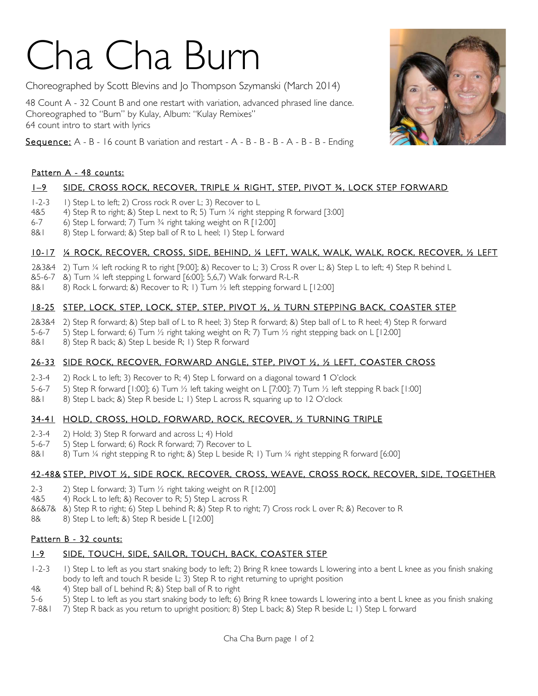# Cha Cha Burn

Choreographed by Scott Blevins and Jo Thompson Szymanski (March 2014)

48 Count A - 32 Count B and one restart with variation, advanced phrased line dance. Choreographed to "Burn" by Kulay, Album: "Kulay Remixes" 64 count intro to start with lyrics

**Sequence:**  $A - B - 16$  count B variation and restart  $-A - B - B - B - A - B - B -$  Ending

#### Pattern A - 48 counts:

### 1–9 SIDE, CROSS ROCK, RECOVER, TRIPLE ¼ RIGHT, STEP, PIVOT ¾, LOCK STEP FORWARD

- 1-2-3 1) Step L to left; 2) Cross rock R over L; 3) Recover to L
- 4&5 4) Step R to right; &) Step L next to R; 5) Turn ¼ right stepping R forward [3:00]
- 6-7 6) Step L forward; 7) Turn ¾ right taking weight on R [12:00]
- 8&1 8) Step L forward; &) Step ball of R to L heel; 1) Step L forward

#### 10-17 ¼ ROCK, RECOVER, CROSS, SIDE, BEHIND, ¼ LEFT, WALK, WALK, WALK, ROCK, RECOVER, ½ LEFT

- 2&3&4 2) Turn ¼ left rocking R to right [9:00]; &) Recover to L; 3) Cross R over L; &) Step L to left; 4) Step R behind L
- &5-6-7 &) Turn ¼ left stepping L forward [6:00]; 5,6,7) Walk forward R-L-R
- 8&1 8) Rock L forward; &) Recover to R; 1) Turn  $\frac{1}{2}$  left stepping forward L [12:00]

#### 18-25 STEP, LOCK, STEP, LOCK, STEP, STEP, PIVOT ½, ½ TURN STEPPING BACK, COASTER STEP

- 2&3&4 2) Step R forward; &) Step ball of L to R heel; 3) Step R forward; &) Step ball of L to R heel; 4) Step R forward
- 5-6-7 5) Step L forward; 6) Turn ½ right taking weight on R; 7) Turn ½ right stepping back on L [12:00]
- 8&1 8) Step R back; &) Step L beside R; 1) Step R forward

#### 26-33 SIDE ROCK, RECOVER, FORWARD ANGLE, STEP, PIVOT ½, ½ LEFT, COASTER CROSS

- 2-3-4 2) Rock L to left; 3) Recover to R; 4) Step L forward on a diagonal toward 1 O'clock
- 5-6-7 5) Step R forward [1:00]; 6) Turn ½ left taking weight on L [7:00]; 7) Turn ½ left stepping R back [1:00]
- 8&1 8) Step L back; &) Step R beside L; 1) Step L across R, squaring up to 12 O'clock

#### 34-41 HOLD, CROSS, HOLD, FORWARD, ROCK, RECOVER, ½ TURNING TRIPLE

- 2-3-4 2) Hold; 3) Step R forward and across L; 4) Hold
- 5-6-7 5) Step L forward; 6) Rock R forward; 7) Recover to L
- 8&1 8) Turn ¼ right stepping R to right; &) Step L beside R; 1) Turn ¼ right stepping R forward [6:00]

#### 42-48& STEP, PIVOT ½, SIDE ROCK, RECOVER, CROSS, WEAVE, CROSS ROCK, RECOVER, SIDE, TOGETHER

- 2-3 2) Step L forward; 3) Turn  $\frac{1}{2}$  right taking weight on R [12:00]
- 4&5 4) Rock L to left; &) Recover to R; 5) Step L across R
- &6&7& &) Step R to right; 6) Step L behind R; &) Step R to right; 7) Cross rock L over R; &) Recover to R
- 8& 8) Step L to left; & Step R beside L [12:00]

#### Pattern B - 32 counts:

#### 1-9 SIDE, TOUCH, SIDE, SAILOR, TOUCH, BACK, COASTER STEP

- 1-2-3 1) Step L to left as you start snaking body to left; 2) Bring R knee towards L lowering into a bent L knee as you finish snaking body to left and touch R beside L; 3) Step R to right returning to upright position
- 4& 4) Step ball of L behind R; &) Step ball of R to right
- 5-6 5) Step L to left as you start snaking body to left; 6) Bring R knee towards L lowering into a bent L knee as you finish snaking
- 7-8&1 7) Step R back as you return to upright position; 8) Step L back; &) Step R beside L; 1) Step L forward